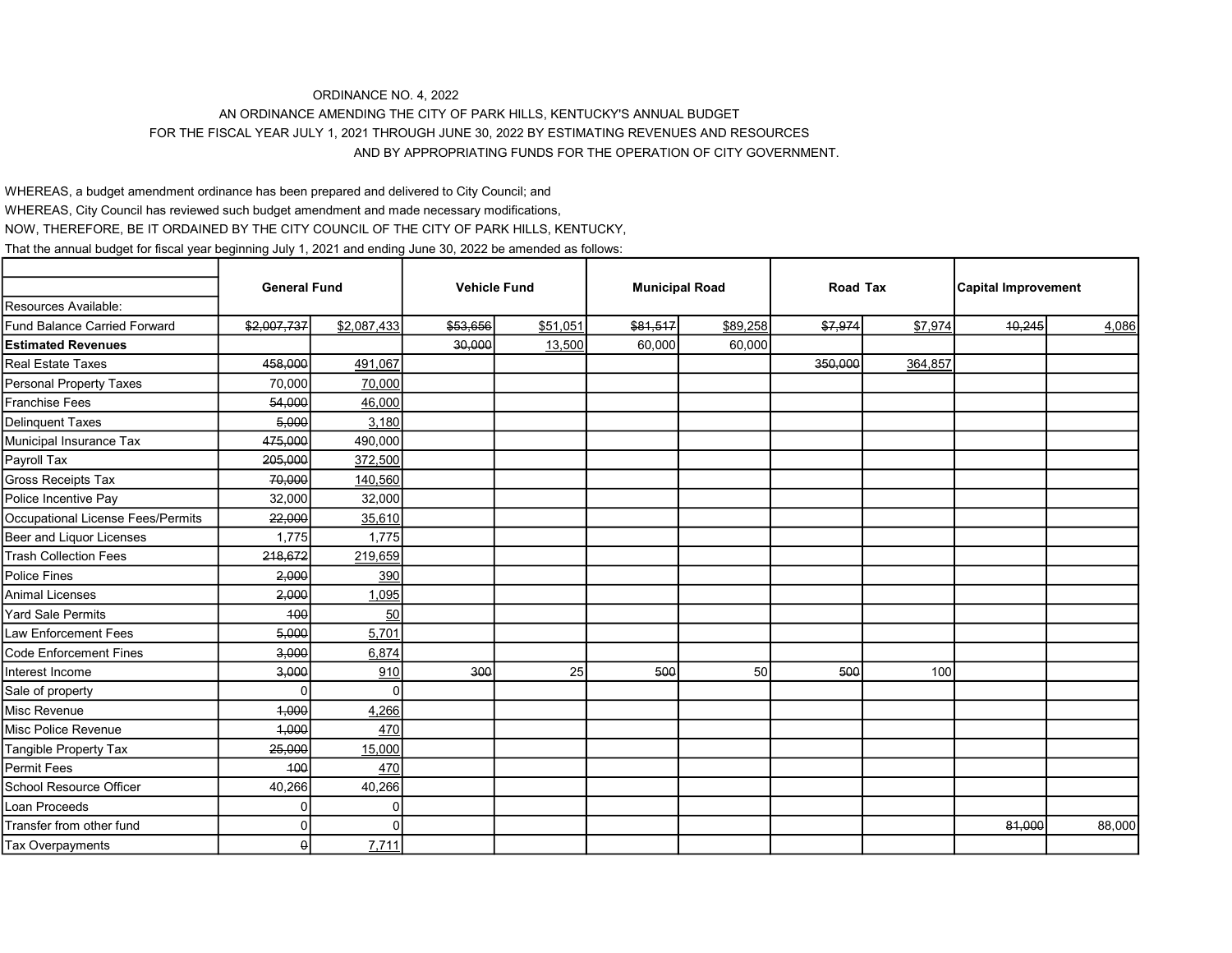## ORDINANCE NO. 4, 2022

AN ORDINANCE AMENDING THE CITY OF PARK HILLS, KENTUCKY'S ANNUAL BUDGET

FOR THE FISCAL YEAR JULY 1, 2021 THROUGH JUNE 30, 2022 BY ESTIMATING REVENUES AND RESOURCES

## AND BY APPROPRIATING FUNDS FOR THE OPERATION OF CITY GOVERNMENT.

WHEREAS, a budget amendment ordinance has been prepared and delivered to City Council; and

WHEREAS, City Council has reviewed such budget amendment and made necessary modifications,

NOW, THEREFORE, BE IT ORDAINED BY THE CITY COUNCIL OF THE CITY OF PARK HILLS, KENTUCKY,

That the annual budget for fiscal year beginning July 1, 2021 and ending June 30, 2022 be amended as follows:

|                                     | <b>General Fund</b> |             | <b>Vehicle Fund</b> |          | <b>Municipal Road</b> |          | Road Tax |         | <b>Capital Improvement</b> |        |
|-------------------------------------|---------------------|-------------|---------------------|----------|-----------------------|----------|----------|---------|----------------------------|--------|
| Resources Available:                |                     |             |                     |          |                       |          |          |         |                            |        |
| <b>Fund Balance Carried Forward</b> | \$2,007,737         | \$2,087,433 | \$53,656            | \$51,051 | \$81,517              | \$89,258 | \$7,974  | \$7,974 | 40,245                     | 4,086  |
| <b>Estimated Revenues</b>           |                     |             | 30,000              | 13,500   | 60,000                | 60,000   |          |         |                            |        |
| <b>Real Estate Taxes</b>            | 458,000             | 491,067     |                     |          |                       |          | 350,000  | 364,857 |                            |        |
| <b>Personal Property Taxes</b>      | 70.000              | 70,000      |                     |          |                       |          |          |         |                            |        |
| <b>Franchise Fees</b>               | 54,000              | 46,000      |                     |          |                       |          |          |         |                            |        |
| <b>Delinquent Taxes</b>             | 5,000               | 3,180       |                     |          |                       |          |          |         |                            |        |
| Municipal Insurance Tax             | 475,000             | 490,000     |                     |          |                       |          |          |         |                            |        |
| Payroll Tax                         | 205,000             | 372,500     |                     |          |                       |          |          |         |                            |        |
| Gross Receipts Tax                  | 70,000              | 140,560     |                     |          |                       |          |          |         |                            |        |
| Police Incentive Pay                | 32,000              | 32,000      |                     |          |                       |          |          |         |                            |        |
| Occupational License Fees/Permits   | 22,000              | 35,610      |                     |          |                       |          |          |         |                            |        |
| Beer and Liquor Licenses            | 1,775               | 1,775       |                     |          |                       |          |          |         |                            |        |
| <b>Trash Collection Fees</b>        | 218,672             | 219,659     |                     |          |                       |          |          |         |                            |        |
| <b>Police Fines</b>                 | 2,000               | 390         |                     |          |                       |          |          |         |                            |        |
| <b>Animal Licenses</b>              | 2,000               | 1,095       |                     |          |                       |          |          |         |                            |        |
| <b>Yard Sale Permits</b>            | 100                 | 50          |                     |          |                       |          |          |         |                            |        |
| <b>Law Enforcement Fees</b>         | 5,000               | 5,701       |                     |          |                       |          |          |         |                            |        |
| <b>Code Enforcement Fines</b>       | 3,000               | 6,874       |                     |          |                       |          |          |         |                            |        |
| Interest Income                     | 3,000               | 910         | 300                 | 25       | 500                   | 50       | 500      | 100     |                            |        |
| Sale of property                    | U                   | U           |                     |          |                       |          |          |         |                            |        |
| Misc Revenue                        | 4,000               | 4,266       |                     |          |                       |          |          |         |                            |        |
| Misc Police Revenue                 | 4,000               | 470         |                     |          |                       |          |          |         |                            |        |
| Tangible Property Tax               | 25,000              | 15,000      |                     |          |                       |          |          |         |                            |        |
| <b>Permit Fees</b>                  | 100                 | 470         |                     |          |                       |          |          |         |                            |        |
| School Resource Officer             | 40,266              | 40,266      |                     |          |                       |          |          |         |                            |        |
| Loan Proceeds                       | U                   | U           |                     |          |                       |          |          |         |                            |        |
| Transfer from other fund            | U                   |             |                     |          |                       |          |          |         | 81,000                     | 88,000 |
| Tax Overpayments                    | ٥l                  | 7,711       |                     |          |                       |          |          |         |                            |        |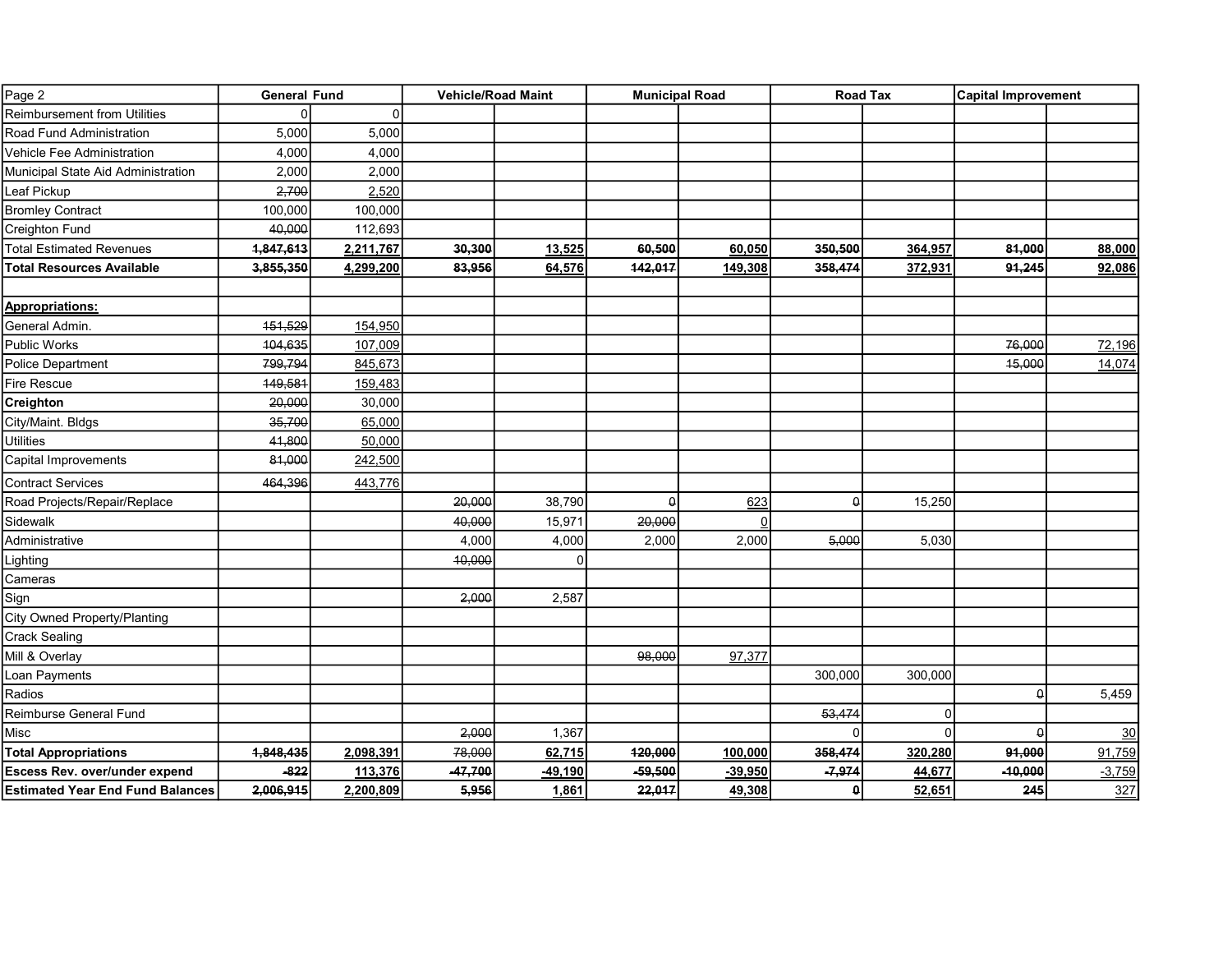| Page 2                                  | <b>General Fund</b> |              | <b>Vehicle/Road Maint</b> |           | <b>Municipal Road</b> |           | <b>Road Tax</b> |          | <b>Capital Improvement</b> |          |
|-----------------------------------------|---------------------|--------------|---------------------------|-----------|-----------------------|-----------|-----------------|----------|----------------------------|----------|
| <b>Reimbursement from Utilities</b>     |                     | <sup>0</sup> |                           |           |                       |           |                 |          |                            |          |
| Road Fund Administration                | 5,000               | 5,000        |                           |           |                       |           |                 |          |                            |          |
| Vehicle Fee Administration              | 4,000               | 4,000        |                           |           |                       |           |                 |          |                            |          |
| Municipal State Aid Administration      | 2,000               | 2,000        |                           |           |                       |           |                 |          |                            |          |
| Leaf Pickup                             | 2,700               | 2,520        |                           |           |                       |           |                 |          |                            |          |
| <b>Bromley Contract</b>                 | 100,000             | 100,000      |                           |           |                       |           |                 |          |                            |          |
| Creighton Fund                          | 40,000              | 112,693      |                           |           |                       |           |                 |          |                            |          |
| <b>Total Estimated Revenues</b>         | 1,847,613           | 2,211,767    | 30,300                    | 13,525    | 60,500                | 60,050    | 350,500         | 364,957  | 81,000                     | 88,000   |
| <b>Total Resources Available</b>        | 3,855,350           | 4,299,200    | 83,956                    | 64,576    | 142,017               | 149,308   | 358,474         | 372,931  | 91,245                     | 92,086   |
|                                         |                     |              |                           |           |                       |           |                 |          |                            |          |
| <b>Appropriations:</b>                  |                     |              |                           |           |                       |           |                 |          |                            |          |
| General Admin.                          | 151,529             | 154,950      |                           |           |                       |           |                 |          |                            |          |
| <b>Public Works</b>                     | 104,635             | 107,009      |                           |           |                       |           |                 |          | 76,000                     | 72,196   |
| <b>Police Department</b>                | 799,794             | 845,673      |                           |           |                       |           |                 |          | 15,000                     | 14,074   |
| Fire Rescue                             | 149,581             | 159,483      |                           |           |                       |           |                 |          |                            |          |
| Creighton                               | 20,000              | 30,000       |                           |           |                       |           |                 |          |                            |          |
| City/Maint. Bldgs                       | 35,700              | 65,000       |                           |           |                       |           |                 |          |                            |          |
| <b>Utilities</b>                        | 41,800              | 50,000       |                           |           |                       |           |                 |          |                            |          |
| Capital Improvements                    | 81,000              | 242,500      |                           |           |                       |           |                 |          |                            |          |
| <b>Contract Services</b>                | 464,396             | 443,776      |                           |           |                       |           |                 |          |                            |          |
| Road Projects/Repair/Replace            |                     |              | 20,000                    | 38,790    | $\Omega$              | 623       | $\theta$        | 15,250   |                            |          |
| Sidewalk                                |                     |              | 40,000                    | 15,971    | 20,000                |           |                 |          |                            |          |
| Administrative                          |                     |              | 4,000                     | 4,000     | 2,000                 | 2,000     | 5,000           | 5,030    |                            |          |
| Lighting                                |                     |              | 10,000                    |           |                       |           |                 |          |                            |          |
| Cameras                                 |                     |              |                           |           |                       |           |                 |          |                            |          |
| Sign                                    |                     |              | 2,000                     | 2,587     |                       |           |                 |          |                            |          |
| <b>City Owned Property/Planting</b>     |                     |              |                           |           |                       |           |                 |          |                            |          |
| <b>Crack Sealing</b>                    |                     |              |                           |           |                       |           |                 |          |                            |          |
| Mill & Overlay                          |                     |              |                           |           | 98,000                | 97,377    |                 |          |                            |          |
| Loan Payments                           |                     |              |                           |           |                       |           | 300,000         | 300,000  |                            |          |
| Radios                                  |                     |              |                           |           |                       |           |                 |          | $\theta$                   | 5,459    |
| Reimburse General Fund                  |                     |              |                           |           |                       |           | 53,474          | $\Omega$ |                            |          |
| Misc                                    |                     |              | 2,000                     | 1,367     |                       |           | $\Omega$        | $\Omega$ | $\Omega$                   | 30       |
| <b>Total Appropriations</b>             | 1,848,435           | 2,098,391    | 78,000                    | 62,715    | 120,000               | 100,000   | 358,474         | 320,280  | 91,000                     | 91,759   |
| Escess Rev. over/under expend           | $-822$              | 113,376      | $-47,700$                 | $-49,190$ | $-59,500$             | $-39,950$ | $-7,974$        | 44,677   | $-10,000$                  | $-3,759$ |
| <b>Estimated Year End Fund Balances</b> | 2,006,915           | 2,200,809    | 5,956                     | 1,861     | 22,017                | 49,308    | 0               | 52,651   | 245                        | 327      |